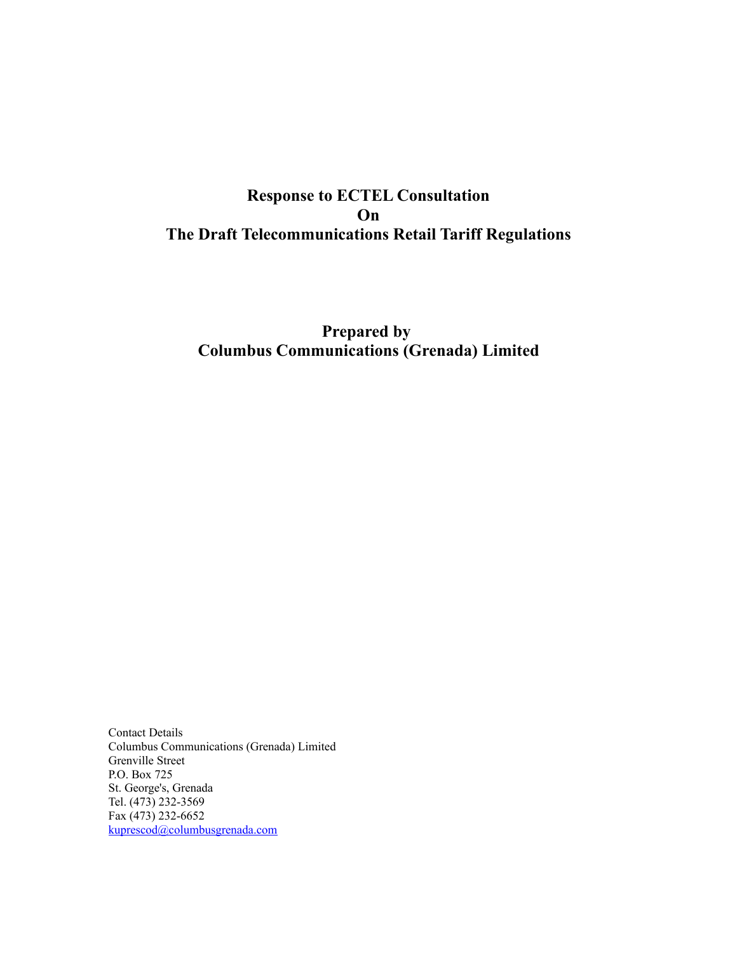# **Response to ECTEL Consultation On The Draft Telecommunications Retail Tariff Regulations**

# **Prepared by Columbus Communications (Grenada) Limited**

Contact Details Columbus Communications (Grenada) Limited Grenville Street P.O. Box 725 St. George's, Grenada Tel. (473) 232-3569 Fax (473) 232-6652 [kuprescod@columbusgrenada.com](mailto:olawton@columbustrnidad.com)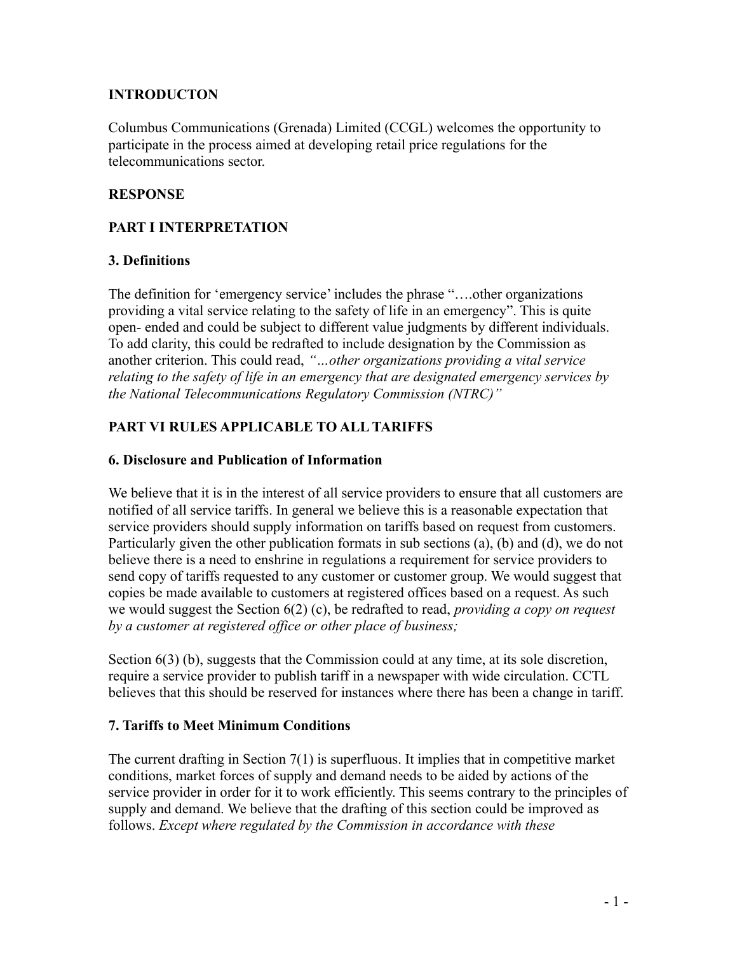#### **INTRODUCTON**

Columbus Communications (Grenada) Limited (CCGL) welcomes the opportunity to participate in the process aimed at developing retail price regulations for the telecommunications sector.

#### **RESPONSE**

#### **PART I INTERPRETATION**

#### **3. Definitions**

The definition for 'emergency service' includes the phrase "….other organizations providing a vital service relating to the safety of life in an emergency". This is quite open- ended and could be subject to different value judgments by different individuals. To add clarity, this could be redrafted to include designation by the Commission as another criterion. This could read, *"…other organizations providing a vital service relating to the safety of life in an emergency that are designated emergency services by the National Telecommunications Regulatory Commission (NTRC)"*

## **PART VI RULES APPLICABLE TO ALL TARIFFS**

#### **6. Disclosure and Publication of Information**

We believe that it is in the interest of all service providers to ensure that all customers are notified of all service tariffs. In general we believe this is a reasonable expectation that service providers should supply information on tariffs based on request from customers. Particularly given the other publication formats in sub sections (a), (b) and (d), we do not believe there is a need to enshrine in regulations a requirement for service providers to send copy of tariffs requested to any customer or customer group. We would suggest that copies be made available to customers at registered offices based on a request. As such we would suggest the Section 6(2) (c), be redrafted to read, *providing a copy on request by a customer at registered office or other place of business;*

Section 6(3) (b), suggests that the Commission could at any time, at its sole discretion, require a service provider to publish tariff in a newspaper with wide circulation. CCTL believes that this should be reserved for instances where there has been a change in tariff.

#### **7. Tariffs to Meet Minimum Conditions**

The current drafting in Section 7(1) is superfluous. It implies that in competitive market conditions, market forces of supply and demand needs to be aided by actions of the service provider in order for it to work efficiently. This seems contrary to the principles of supply and demand. We believe that the drafting of this section could be improved as follows. *Except where regulated by the Commission in accordance with these*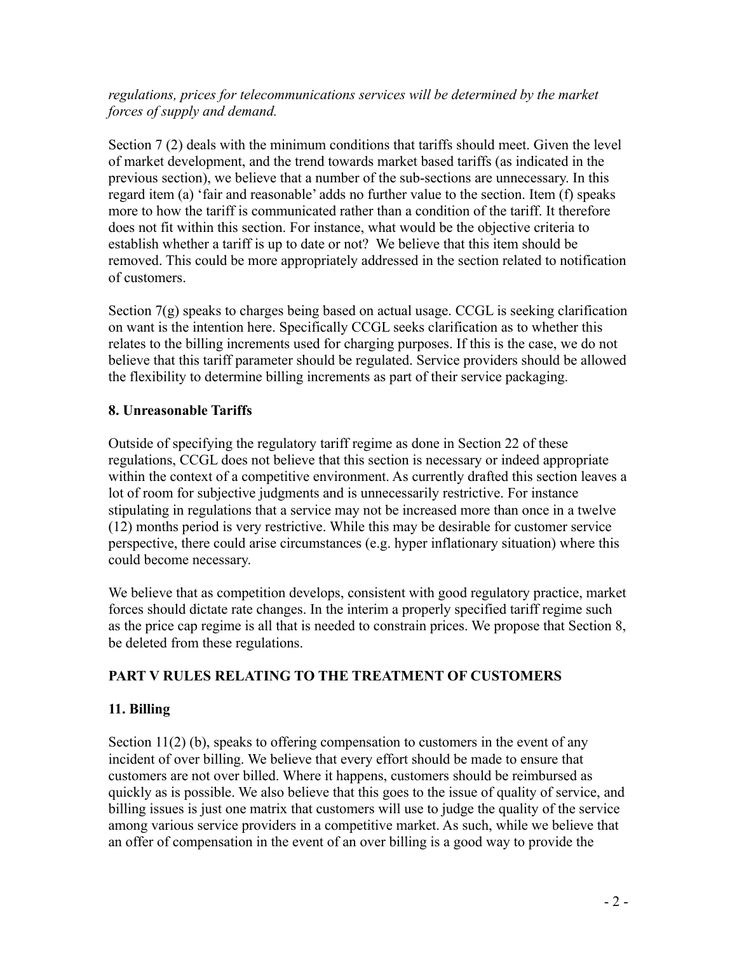#### *regulations, prices for telecommunications services will be determined by the market forces of supply and demand.*

Section 7 (2) deals with the minimum conditions that tariffs should meet. Given the level of market development, and the trend towards market based tariffs (as indicated in the previous section), we believe that a number of the sub-sections are unnecessary. In this regard item (a) 'fair and reasonable' adds no further value to the section. Item (f) speaks more to how the tariff is communicated rather than a condition of the tariff. It therefore does not fit within this section. For instance, what would be the objective criteria to establish whether a tariff is up to date or not? We believe that this item should be removed. This could be more appropriately addressed in the section related to notification of customers.

Section 7(g) speaks to charges being based on actual usage. CCGL is seeking clarification on want is the intention here. Specifically CCGL seeks clarification as to whether this relates to the billing increments used for charging purposes. If this is the case, we do not believe that this tariff parameter should be regulated. Service providers should be allowed the flexibility to determine billing increments as part of their service packaging.

## **8. Unreasonable Tariffs**

Outside of specifying the regulatory tariff regime as done in Section 22 of these regulations, CCGL does not believe that this section is necessary or indeed appropriate within the context of a competitive environment. As currently drafted this section leaves a lot of room for subjective judgments and is unnecessarily restrictive. For instance stipulating in regulations that a service may not be increased more than once in a twelve (12) months period is very restrictive. While this may be desirable for customer service perspective, there could arise circumstances (e.g. hyper inflationary situation) where this could become necessary.

We believe that as competition develops, consistent with good regulatory practice, market forces should dictate rate changes. In the interim a properly specified tariff regime such as the price cap regime is all that is needed to constrain prices. We propose that Section 8, be deleted from these regulations.

# **PART V RULES RELATING TO THE TREATMENT OF CUSTOMERS**

# **11. Billing**

Section 11(2) (b), speaks to offering compensation to customers in the event of any incident of over billing. We believe that every effort should be made to ensure that customers are not over billed. Where it happens, customers should be reimbursed as quickly as is possible. We also believe that this goes to the issue of quality of service, and billing issues is just one matrix that customers will use to judge the quality of the service among various service providers in a competitive market. As such, while we believe that an offer of compensation in the event of an over billing is a good way to provide the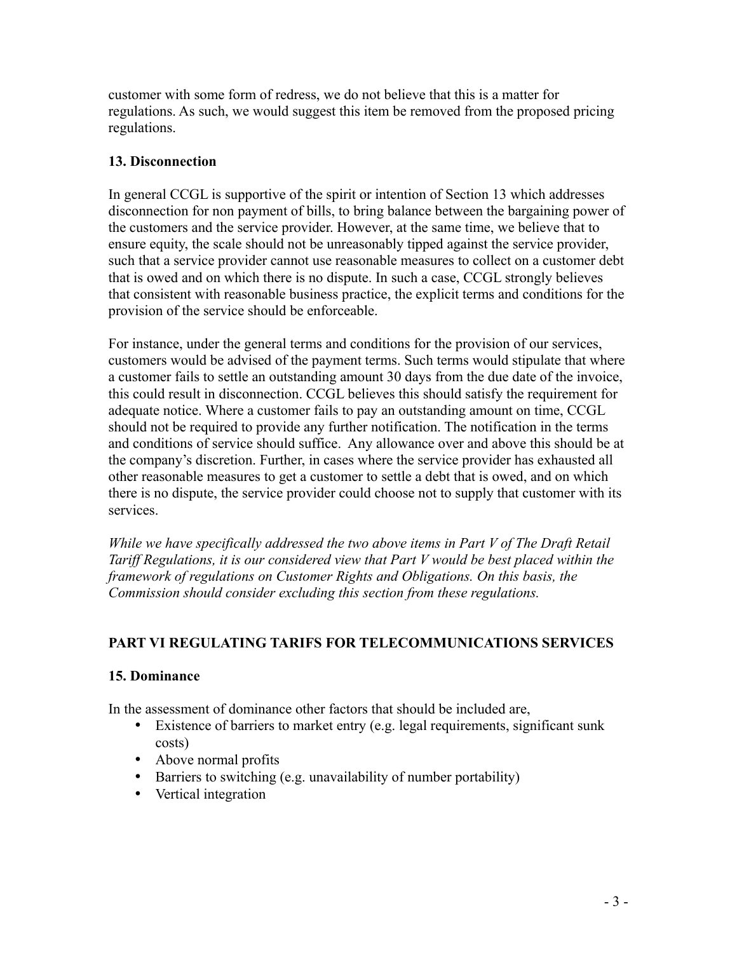customer with some form of redress, we do not believe that this is a matter for regulations. As such, we would suggest this item be removed from the proposed pricing regulations.

## **13. Disconnection**

In general CCGL is supportive of the spirit or intention of Section 13 which addresses disconnection for non payment of bills, to bring balance between the bargaining power of the customers and the service provider. However, at the same time, we believe that to ensure equity, the scale should not be unreasonably tipped against the service provider, such that a service provider cannot use reasonable measures to collect on a customer debt that is owed and on which there is no dispute. In such a case, CCGL strongly believes that consistent with reasonable business practice, the explicit terms and conditions for the provision of the service should be enforceable.

For instance, under the general terms and conditions for the provision of our services, customers would be advised of the payment terms. Such terms would stipulate that where a customer fails to settle an outstanding amount 30 days from the due date of the invoice, this could result in disconnection. CCGL believes this should satisfy the requirement for adequate notice. Where a customer fails to pay an outstanding amount on time, CCGL should not be required to provide any further notification. The notification in the terms and conditions of service should suffice. Any allowance over and above this should be at the company's discretion. Further, in cases where the service provider has exhausted all other reasonable measures to get a customer to settle a debt that is owed, and on which there is no dispute, the service provider could choose not to supply that customer with its services.

*While we have specifically addressed the two above items in Part V of The Draft Retail Tariff Regulations, it is our considered view that Part V would be best placed within the framework of regulations on Customer Rights and Obligations. On this basis, the Commission should consider excluding this section from these regulations.*

# **PART VI REGULATING TARIFS FOR TELECOMMUNICATIONS SERVICES**

# **15. Dominance**

In the assessment of dominance other factors that should be included are,

- Existence of barriers to market entry (e.g. legal requirements, significant sunk costs)
- Above normal profits
- Barriers to switching (e.g. unavailability of number portability)
- Vertical integration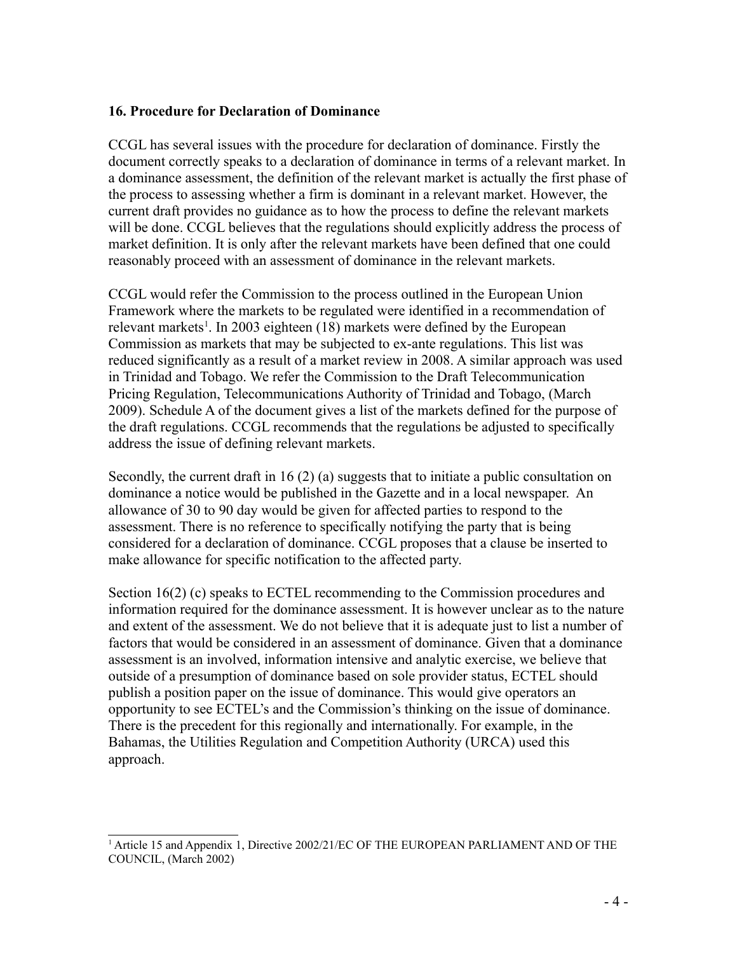#### **16. Procedure for Declaration of Dominance**

CCGL has several issues with the procedure for declaration of dominance. Firstly the document correctly speaks to a declaration of dominance in terms of a relevant market. In a dominance assessment, the definition of the relevant market is actually the first phase of the process to assessing whether a firm is dominant in a relevant market. However, the current draft provides no guidance as to how the process to define the relevant markets will be done. CCGL believes that the regulations should explicitly address the process of market definition. It is only after the relevant markets have been defined that one could reasonably proceed with an assessment of dominance in the relevant markets.

CCGL would refer the Commission to the process outlined in the European Union Framework where the markets to be regulated were identified in a recommendation of relevant markets<sup>[1](#page-4-0)</sup>. In 2003 eighteen (18) markets were defined by the European Commission as markets that may be subjected to ex-ante regulations. This list was reduced significantly as a result of a market review in 2008. A similar approach was used in Trinidad and Tobago. We refer the Commission to the Draft Telecommunication Pricing Regulation, Telecommunications Authority of Trinidad and Tobago, (March 2009). Schedule A of the document gives a list of the markets defined for the purpose of the draft regulations. CCGL recommends that the regulations be adjusted to specifically address the issue of defining relevant markets.

Secondly, the current draft in 16 (2) (a) suggests that to initiate a public consultation on dominance a notice would be published in the Gazette and in a local newspaper. An allowance of 30 to 90 day would be given for affected parties to respond to the assessment. There is no reference to specifically notifying the party that is being considered for a declaration of dominance. CCGL proposes that a clause be inserted to make allowance for specific notification to the affected party.

Section 16(2) (c) speaks to ECTEL recommending to the Commission procedures and information required for the dominance assessment. It is however unclear as to the nature and extent of the assessment. We do not believe that it is adequate just to list a number of factors that would be considered in an assessment of dominance. Given that a dominance assessment is an involved, information intensive and analytic exercise, we believe that outside of a presumption of dominance based on sole provider status, ECTEL should publish a position paper on the issue of dominance. This would give operators an opportunity to see ECTEL's and the Commission's thinking on the issue of dominance. There is the precedent for this regionally and internationally. For example, in the Bahamas, the Utilities Regulation and Competition Authority (URCA) used this approach.

<span id="page-4-0"></span><sup>&</sup>lt;sup>1</sup> Article 15 and Appendix 1, Directive 2002/21/EC OF THE EUROPEAN PARLIAMENT AND OF THE COUNCIL, (March 2002)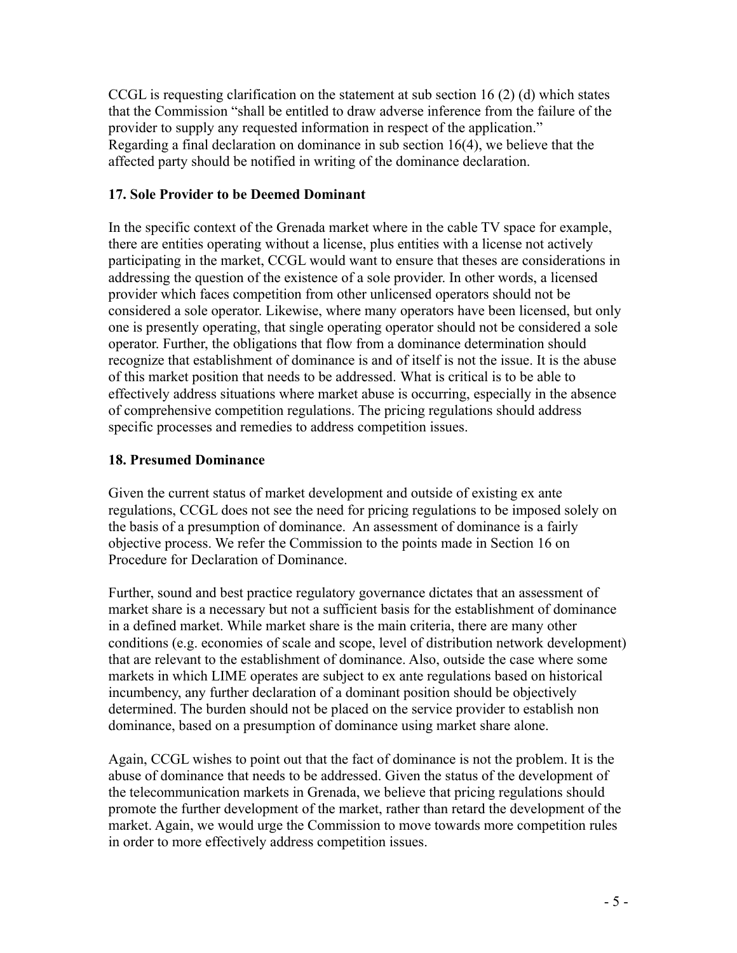CCGL is requesting clarification on the statement at sub section 16 (2) (d) which states that the Commission "shall be entitled to draw adverse inference from the failure of the provider to supply any requested information in respect of the application." Regarding a final declaration on dominance in sub section 16(4), we believe that the affected party should be notified in writing of the dominance declaration.

### **17. Sole Provider to be Deemed Dominant**

In the specific context of the Grenada market where in the cable TV space for example, there are entities operating without a license, plus entities with a license not actively participating in the market, CCGL would want to ensure that theses are considerations in addressing the question of the existence of a sole provider. In other words, a licensed provider which faces competition from other unlicensed operators should not be considered a sole operator. Likewise, where many operators have been licensed, but only one is presently operating, that single operating operator should not be considered a sole operator. Further, the obligations that flow from a dominance determination should recognize that establishment of dominance is and of itself is not the issue. It is the abuse of this market position that needs to be addressed. What is critical is to be able to effectively address situations where market abuse is occurring, especially in the absence of comprehensive competition regulations. The pricing regulations should address specific processes and remedies to address competition issues.

## **18. Presumed Dominance**

Given the current status of market development and outside of existing ex ante regulations, CCGL does not see the need for pricing regulations to be imposed solely on the basis of a presumption of dominance. An assessment of dominance is a fairly objective process. We refer the Commission to the points made in Section 16 on Procedure for Declaration of Dominance.

Further, sound and best practice regulatory governance dictates that an assessment of market share is a necessary but not a sufficient basis for the establishment of dominance in a defined market. While market share is the main criteria, there are many other conditions (e.g. economies of scale and scope, level of distribution network development) that are relevant to the establishment of dominance. Also, outside the case where some markets in which LIME operates are subject to ex ante regulations based on historical incumbency, any further declaration of a dominant position should be objectively determined. The burden should not be placed on the service provider to establish non dominance, based on a presumption of dominance using market share alone.

Again, CCGL wishes to point out that the fact of dominance is not the problem. It is the abuse of dominance that needs to be addressed. Given the status of the development of the telecommunication markets in Grenada, we believe that pricing regulations should promote the further development of the market, rather than retard the development of the market. Again, we would urge the Commission to move towards more competition rules in order to more effectively address competition issues.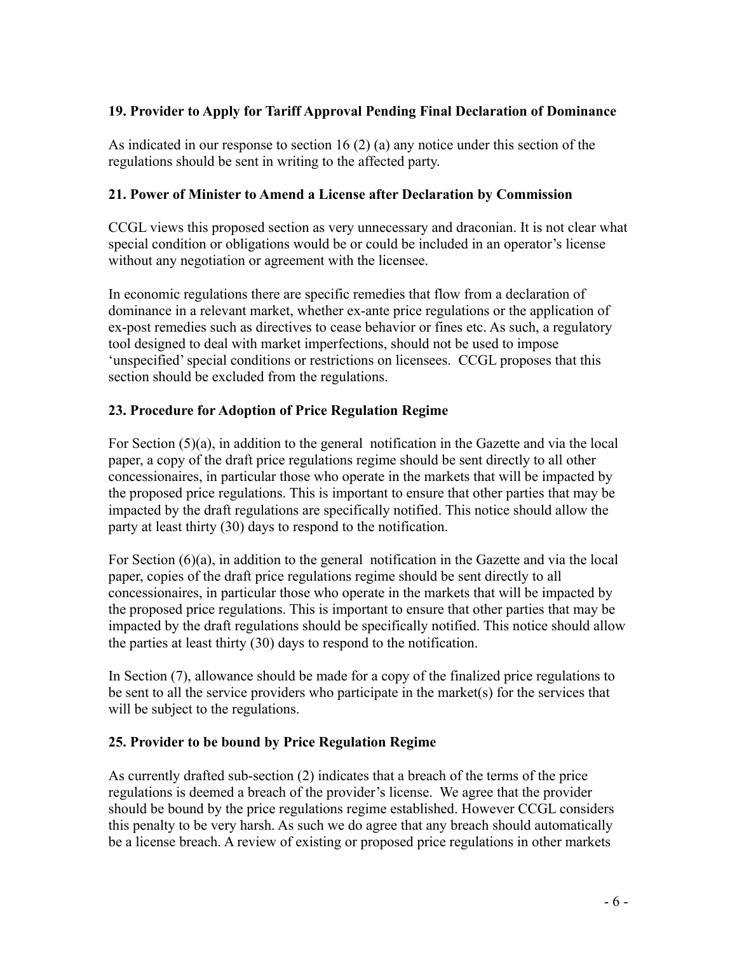## **19. Provider to Apply for Tariff Approval Pending Final Declaration of Dominance**

As indicated in our response to section 16 (2) (a) any notice under this section of the regulations should be sent in writing to the affected party.

#### **21. Power of Minister to Amend a License after Declaration by Commission**

CCGL views this proposed section as very unnecessary and draconian. It is not clear what special condition or obligations would be or could be included in an operator's license without any negotiation or agreement with the licensee.

In economic regulations there are specific remedies that flow from a declaration of dominance in a relevant market, whether ex-ante price regulations or the application of ex-post remedies such as directives to cease behavior or fines etc. As such, a regulatory tool designed to deal with market imperfections, should not be used to impose 'unspecified' special conditions or restrictions on licensees. CCGL proposes that this section should be excluded from the regulations.

## **23. Procedure for Adoption of Price Regulation Regime**

For Section (5)(a), in addition to the general notification in the Gazette and via the local paper, a copy of the draft price regulations regime should be sent directly to all other concessionaires, in particular those who operate in the markets that will be impacted by the proposed price regulations. This is important to ensure that other parties that may be impacted by the draft regulations are specifically notified. This notice should allow the party at least thirty (30) days to respond to the notification.

For Section (6)(a), in addition to the general notification in the Gazette and via the local paper, copies of the draft price regulations regime should be sent directly to all concessionaires, in particular those who operate in the markets that will be impacted by the proposed price regulations. This is important to ensure that other parties that may be impacted by the draft regulations should be specifically notified. This notice should allow the parties at least thirty (30) days to respond to the notification.

In Section (7), allowance should be made for a copy of the finalized price regulations to be sent to all the service providers who participate in the market(s) for the services that will be subject to the regulations.

#### **25. Provider to be bound by Price Regulation Regime**

As currently drafted sub-section (2) indicates that a breach of the terms of the price regulations is deemed a breach of the provider's license. We agree that the provider should be bound by the price regulations regime established. However CCGL considers this penalty to be very harsh. As such we do agree that any breach should automatically be a license breach. A review of existing or proposed price regulations in other markets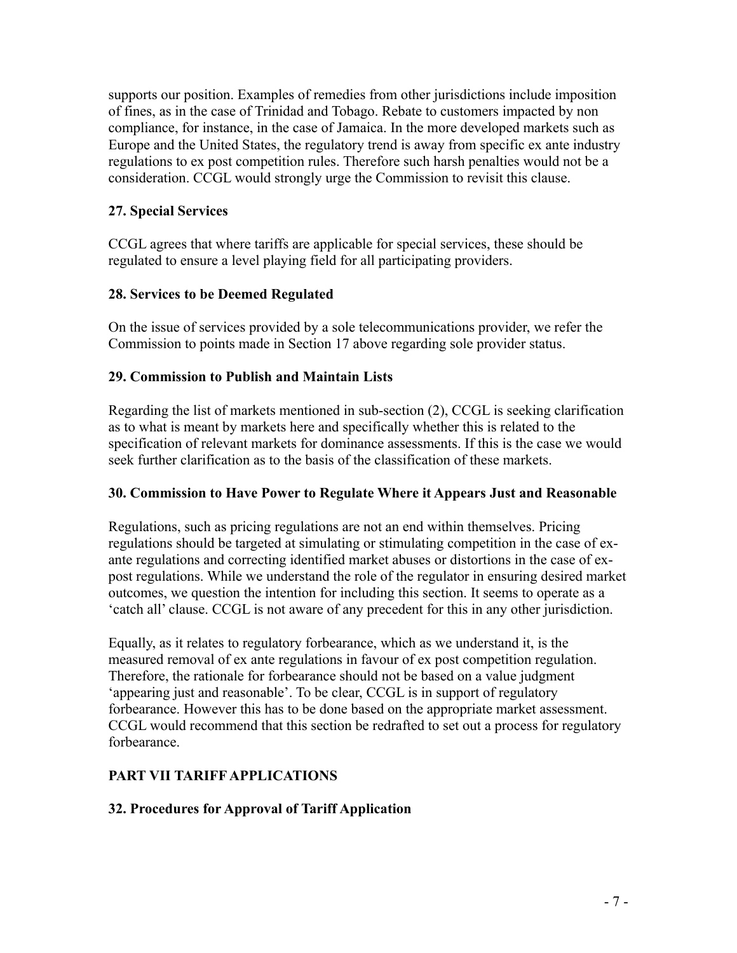supports our position. Examples of remedies from other jurisdictions include imposition of fines, as in the case of Trinidad and Tobago. Rebate to customers impacted by non compliance, for instance, in the case of Jamaica. In the more developed markets such as Europe and the United States, the regulatory trend is away from specific ex ante industry regulations to ex post competition rules. Therefore such harsh penalties would not be a consideration. CCGL would strongly urge the Commission to revisit this clause.

### **27. Special Services**

CCGL agrees that where tariffs are applicable for special services, these should be regulated to ensure a level playing field for all participating providers.

## **28. Services to be Deemed Regulated**

On the issue of services provided by a sole telecommunications provider, we refer the Commission to points made in Section 17 above regarding sole provider status.

## **29. Commission to Publish and Maintain Lists**

Regarding the list of markets mentioned in sub-section (2), CCGL is seeking clarification as to what is meant by markets here and specifically whether this is related to the specification of relevant markets for dominance assessments. If this is the case we would seek further clarification as to the basis of the classification of these markets.

#### **30. Commission to Have Power to Regulate Where it Appears Just and Reasonable**

Regulations, such as pricing regulations are not an end within themselves. Pricing regulations should be targeted at simulating or stimulating competition in the case of exante regulations and correcting identified market abuses or distortions in the case of expost regulations. While we understand the role of the regulator in ensuring desired market outcomes, we question the intention for including this section. It seems to operate as a 'catch all' clause. CCGL is not aware of any precedent for this in any other jurisdiction.

Equally, as it relates to regulatory forbearance, which as we understand it, is the measured removal of ex ante regulations in favour of ex post competition regulation. Therefore, the rationale for forbearance should not be based on a value judgment 'appearing just and reasonable'. To be clear, CCGL is in support of regulatory forbearance. However this has to be done based on the appropriate market assessment. CCGL would recommend that this section be redrafted to set out a process for regulatory forbearance.

# **PART VII TARIFF APPLICATIONS**

# **32. Procedures for Approval of Tariff Application**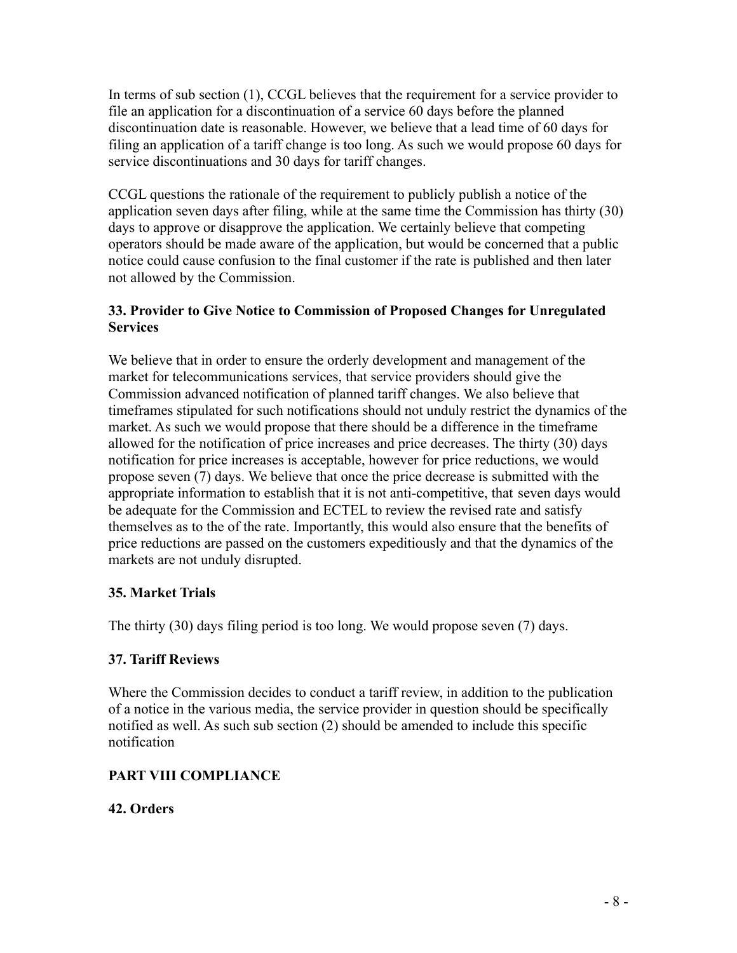In terms of sub section (1), CCGL believes that the requirement for a service provider to file an application for a discontinuation of a service 60 days before the planned discontinuation date is reasonable. However, we believe that a lead time of 60 days for filing an application of a tariff change is too long. As such we would propose 60 days for service discontinuations and 30 days for tariff changes.

CCGL questions the rationale of the requirement to publicly publish a notice of the application seven days after filing, while at the same time the Commission has thirty (30) days to approve or disapprove the application. We certainly believe that competing operators should be made aware of the application, but would be concerned that a public notice could cause confusion to the final customer if the rate is published and then later not allowed by the Commission.

## **33. Provider to Give Notice to Commission of Proposed Changes for Unregulated Services**

We believe that in order to ensure the orderly development and management of the market for telecommunications services, that service providers should give the Commission advanced notification of planned tariff changes. We also believe that timeframes stipulated for such notifications should not unduly restrict the dynamics of the market. As such we would propose that there should be a difference in the timeframe allowed for the notification of price increases and price decreases. The thirty (30) days notification for price increases is acceptable, however for price reductions, we would propose seven (7) days. We believe that once the price decrease is submitted with the appropriate information to establish that it is not anti-competitive, that seven days would be adequate for the Commission and ECTEL to review the revised rate and satisfy themselves as to the of the rate. Importantly, this would also ensure that the benefits of price reductions are passed on the customers expeditiously and that the dynamics of the markets are not unduly disrupted.

# **35. Market Trials**

The thirty (30) days filing period is too long. We would propose seven (7) days.

# **37. Tariff Reviews**

Where the Commission decides to conduct a tariff review, in addition to the publication of a notice in the various media, the service provider in question should be specifically notified as well. As such sub section (2) should be amended to include this specific notification

# **PART VIII COMPLIANCE**

# **42. Orders**